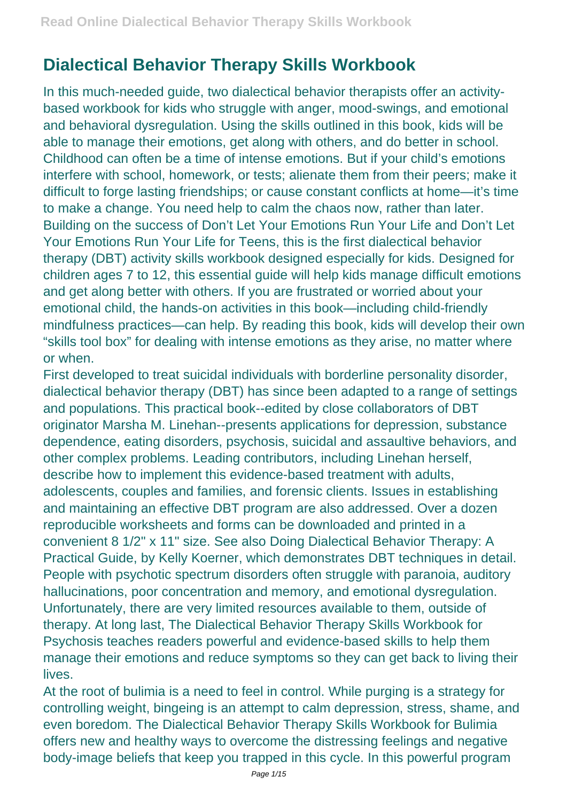## **Dialectical Behavior Therapy Skills Workbook**

In this much-needed guide, two dialectical behavior therapists offer an activitybased workbook for kids who struggle with anger, mood-swings, and emotional and behavioral dysregulation. Using the skills outlined in this book, kids will be able to manage their emotions, get along with others, and do better in school. Childhood can often be a time of intense emotions. But if your child's emotions interfere with school, homework, or tests; alienate them from their peers; make it difficult to forge lasting friendships; or cause constant conflicts at home—it's time to make a change. You need help to calm the chaos now, rather than later. Building on the success of Don't Let Your Emotions Run Your Life and Don't Let Your Emotions Run Your Life for Teens, this is the first dialectical behavior therapy (DBT) activity skills workbook designed especially for kids. Designed for children ages 7 to 12, this essential guide will help kids manage difficult emotions and get along better with others. If you are frustrated or worried about your emotional child, the hands-on activities in this book—including child-friendly mindfulness practices—can help. By reading this book, kids will develop their own "skills tool box" for dealing with intense emotions as they arise, no matter where or when.

First developed to treat suicidal individuals with borderline personality disorder, dialectical behavior therapy (DBT) has since been adapted to a range of settings and populations. This practical book--edited by close collaborators of DBT originator Marsha M. Linehan--presents applications for depression, substance dependence, eating disorders, psychosis, suicidal and assaultive behaviors, and other complex problems. Leading contributors, including Linehan herself, describe how to implement this evidence-based treatment with adults, adolescents, couples and families, and forensic clients. Issues in establishing and maintaining an effective DBT program are also addressed. Over a dozen reproducible worksheets and forms can be downloaded and printed in a convenient 8 1/2" x 11" size. See also Doing Dialectical Behavior Therapy: A Practical Guide, by Kelly Koerner, which demonstrates DBT techniques in detail. People with psychotic spectrum disorders often struggle with paranoia, auditory hallucinations, poor concentration and memory, and emotional dysregulation. Unfortunately, there are very limited resources available to them, outside of therapy. At long last, The Dialectical Behavior Therapy Skills Workbook for Psychosis teaches readers powerful and evidence-based skills to help them manage their emotions and reduce symptoms so they can get back to living their lives.

At the root of bulimia is a need to feel in control. While purging is a strategy for controlling weight, bingeing is an attempt to calm depression, stress, shame, and even boredom. The Dialectical Behavior Therapy Skills Workbook for Bulimia offers new and healthy ways to overcome the distressing feelings and negative body-image beliefs that keep you trapped in this cycle. In this powerful program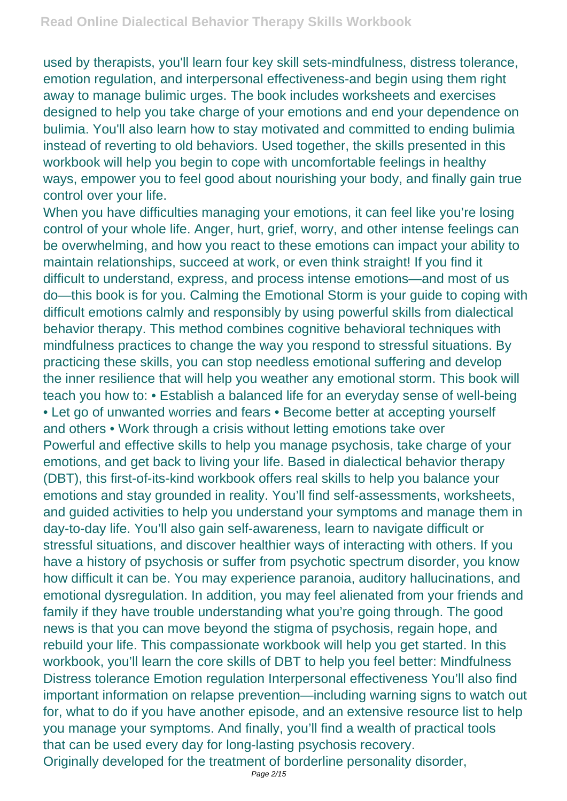used by therapists, you'll learn four key skill sets-mindfulness, distress tolerance, emotion regulation, and interpersonal effectiveness-and begin using them right away to manage bulimic urges. The book includes worksheets and exercises designed to help you take charge of your emotions and end your dependence on bulimia. You'll also learn how to stay motivated and committed to ending bulimia instead of reverting to old behaviors. Used together, the skills presented in this workbook will help you begin to cope with uncomfortable feelings in healthy ways, empower you to feel good about nourishing your body, and finally gain true control over your life.

When you have difficulties managing your emotions, it can feel like you're losing control of your whole life. Anger, hurt, grief, worry, and other intense feelings can be overwhelming, and how you react to these emotions can impact your ability to maintain relationships, succeed at work, or even think straight! If you find it difficult to understand, express, and process intense emotions—and most of us do—this book is for you. Calming the Emotional Storm is your guide to coping with difficult emotions calmly and responsibly by using powerful skills from dialectical behavior therapy. This method combines cognitive behavioral techniques with mindfulness practices to change the way you respond to stressful situations. By practicing these skills, you can stop needless emotional suffering and develop the inner resilience that will help you weather any emotional storm. This book will teach you how to: • Establish a balanced life for an everyday sense of well-being • Let go of unwanted worries and fears • Become better at accepting yourself and others • Work through a crisis without letting emotions take over Powerful and effective skills to help you manage psychosis, take charge of your emotions, and get back to living your life. Based in dialectical behavior therapy (DBT), this first-of-its-kind workbook offers real skills to help you balance your emotions and stay grounded in reality. You'll find self-assessments, worksheets, and guided activities to help you understand your symptoms and manage them in day-to-day life. You'll also gain self-awareness, learn to navigate difficult or stressful situations, and discover healthier ways of interacting with others. If you have a history of psychosis or suffer from psychotic spectrum disorder, you know how difficult it can be. You may experience paranoia, auditory hallucinations, and emotional dysregulation. In addition, you may feel alienated from your friends and family if they have trouble understanding what you're going through. The good news is that you can move beyond the stigma of psychosis, regain hope, and rebuild your life. This compassionate workbook will help you get started. In this workbook, you'll learn the core skills of DBT to help you feel better: Mindfulness Distress tolerance Emotion regulation Interpersonal effectiveness You'll also find important information on relapse prevention—including warning signs to watch out for, what to do if you have another episode, and an extensive resource list to help you manage your symptoms. And finally, you'll find a wealth of practical tools that can be used every day for long-lasting psychosis recovery. Originally developed for the treatment of borderline personality disorder,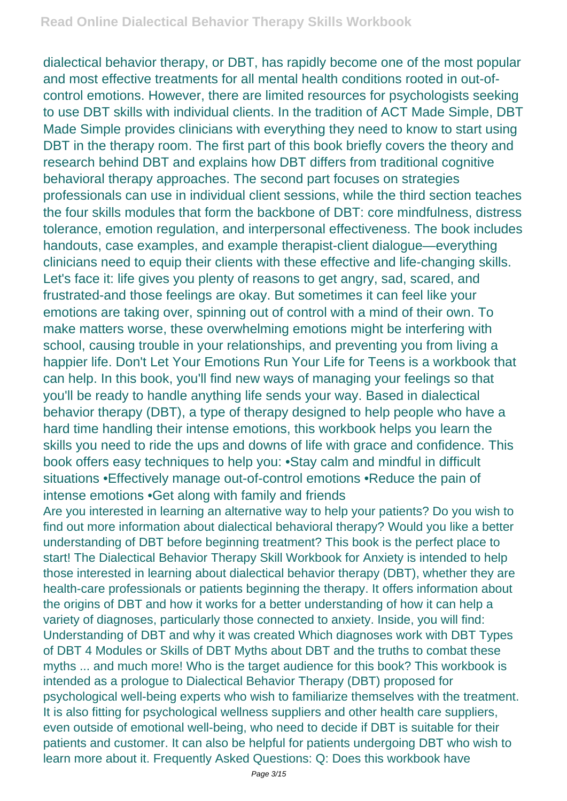dialectical behavior therapy, or DBT, has rapidly become one of the most popular and most effective treatments for all mental health conditions rooted in out-ofcontrol emotions. However, there are limited resources for psychologists seeking to use DBT skills with individual clients. In the tradition of ACT Made Simple, DBT Made Simple provides clinicians with everything they need to know to start using DBT in the therapy room. The first part of this book briefly covers the theory and research behind DBT and explains how DBT differs from traditional cognitive behavioral therapy approaches. The second part focuses on strategies professionals can use in individual client sessions, while the third section teaches the four skills modules that form the backbone of DBT: core mindfulness, distress tolerance, emotion regulation, and interpersonal effectiveness. The book includes handouts, case examples, and example therapist-client dialogue—everything clinicians need to equip their clients with these effective and life-changing skills. Let's face it: life gives you plenty of reasons to get angry, sad, scared, and frustrated-and those feelings are okay. But sometimes it can feel like your emotions are taking over, spinning out of control with a mind of their own. To make matters worse, these overwhelming emotions might be interfering with school, causing trouble in your relationships, and preventing you from living a happier life. Don't Let Your Emotions Run Your Life for Teens is a workbook that can help. In this book, you'll find new ways of managing your feelings so that you'll be ready to handle anything life sends your way. Based in dialectical behavior therapy (DBT), a type of therapy designed to help people who have a hard time handling their intense emotions, this workbook helps you learn the skills you need to ride the ups and downs of life with grace and confidence. This book offers easy techniques to help you: •Stay calm and mindful in difficult situations •Effectively manage out-of-control emotions •Reduce the pain of intense emotions •Get along with family and friends

Are you interested in learning an alternative way to help your patients? Do you wish to find out more information about dialectical behavioral therapy? Would you like a better understanding of DBT before beginning treatment? This book is the perfect place to start! The Dialectical Behavior Therapy Skill Workbook for Anxiety is intended to help those interested in learning about dialectical behavior therapy (DBT), whether they are health-care professionals or patients beginning the therapy. It offers information about the origins of DBT and how it works for a better understanding of how it can help a variety of diagnoses, particularly those connected to anxiety. Inside, you will find: Understanding of DBT and why it was created Which diagnoses work with DBT Types of DBT 4 Modules or Skills of DBT Myths about DBT and the truths to combat these myths ... and much more! Who is the target audience for this book? This workbook is intended as a prologue to Dialectical Behavior Therapy (DBT) proposed for psychological well-being experts who wish to familiarize themselves with the treatment. It is also fitting for psychological wellness suppliers and other health care suppliers, even outside of emotional well-being, who need to decide if DBT is suitable for their patients and customer. It can also be helpful for patients undergoing DBT who wish to learn more about it. Frequently Asked Questions: Q: Does this workbook have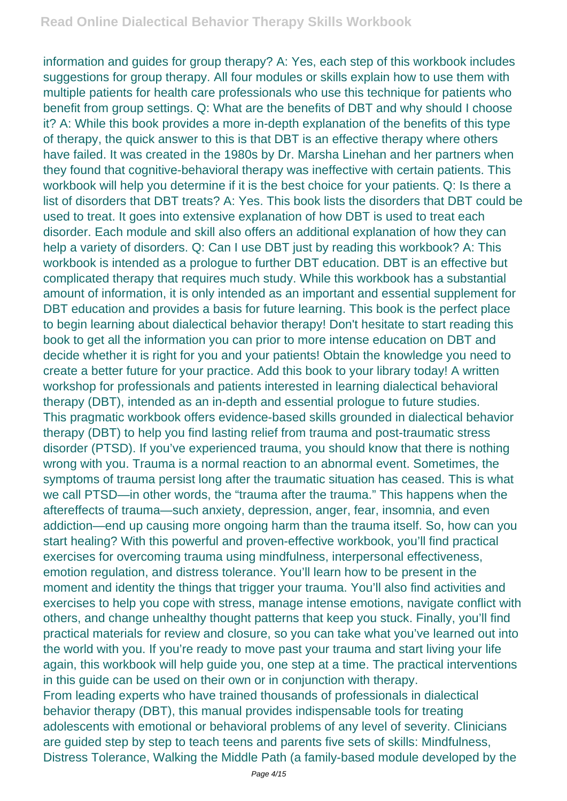information and guides for group therapy? A: Yes, each step of this workbook includes suggestions for group therapy. All four modules or skills explain how to use them with multiple patients for health care professionals who use this technique for patients who benefit from group settings. Q: What are the benefits of DBT and why should I choose it? A: While this book provides a more in-depth explanation of the benefits of this type of therapy, the quick answer to this is that DBT is an effective therapy where others have failed. It was created in the 1980s by Dr. Marsha Linehan and her partners when they found that cognitive-behavioral therapy was ineffective with certain patients. This workbook will help you determine if it is the best choice for your patients. Q: Is there a list of disorders that DBT treats? A: Yes. This book lists the disorders that DBT could be used to treat. It goes into extensive explanation of how DBT is used to treat each disorder. Each module and skill also offers an additional explanation of how they can help a variety of disorders. Q: Can I use DBT just by reading this workbook? A: This workbook is intended as a prologue to further DBT education. DBT is an effective but complicated therapy that requires much study. While this workbook has a substantial amount of information, it is only intended as an important and essential supplement for DBT education and provides a basis for future learning. This book is the perfect place to begin learning about dialectical behavior therapy! Don't hesitate to start reading this book to get all the information you can prior to more intense education on DBT and decide whether it is right for you and your patients! Obtain the knowledge you need to create a better future for your practice. Add this book to your library today! A written workshop for professionals and patients interested in learning dialectical behavioral therapy (DBT), intended as an in-depth and essential prologue to future studies. This pragmatic workbook offers evidence-based skills grounded in dialectical behavior therapy (DBT) to help you find lasting relief from trauma and post-traumatic stress disorder (PTSD). If you've experienced trauma, you should know that there is nothing wrong with you. Trauma is a normal reaction to an abnormal event. Sometimes, the symptoms of trauma persist long after the traumatic situation has ceased. This is what we call PTSD—in other words, the "trauma after the trauma." This happens when the aftereffects of trauma—such anxiety, depression, anger, fear, insomnia, and even addiction—end up causing more ongoing harm than the trauma itself. So, how can you start healing? With this powerful and proven-effective workbook, you'll find practical exercises for overcoming trauma using mindfulness, interpersonal effectiveness, emotion regulation, and distress tolerance. You'll learn how to be present in the moment and identity the things that trigger your trauma. You'll also find activities and exercises to help you cope with stress, manage intense emotions, navigate conflict with others, and change unhealthy thought patterns that keep you stuck. Finally, you'll find practical materials for review and closure, so you can take what you've learned out into the world with you. If you're ready to move past your trauma and start living your life again, this workbook will help guide you, one step at a time. The practical interventions in this guide can be used on their own or in conjunction with therapy. From leading experts who have trained thousands of professionals in dialectical behavior therapy (DBT), this manual provides indispensable tools for treating adolescents with emotional or behavioral problems of any level of severity. Clinicians are guided step by step to teach teens and parents five sets of skills: Mindfulness, Distress Tolerance, Walking the Middle Path (a family-based module developed by the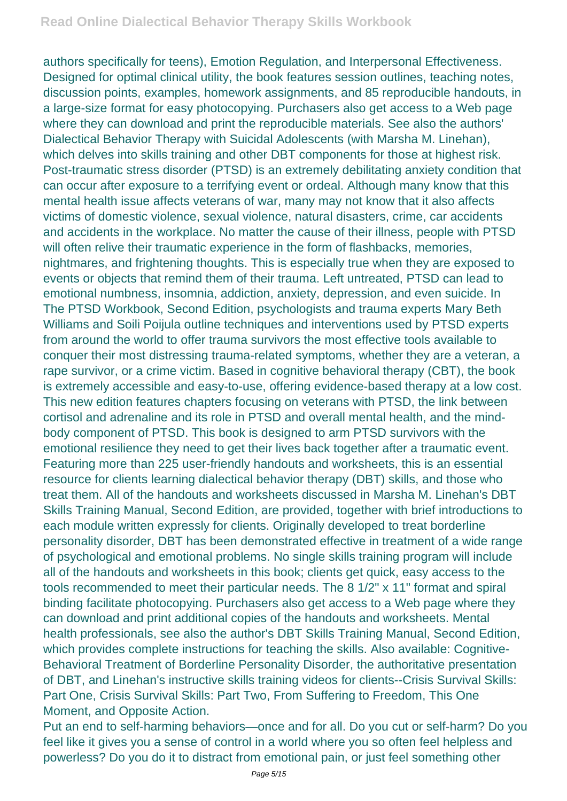authors specifically for teens), Emotion Regulation, and Interpersonal Effectiveness. Designed for optimal clinical utility, the book features session outlines, teaching notes, discussion points, examples, homework assignments, and 85 reproducible handouts, in a large-size format for easy photocopying. Purchasers also get access to a Web page where they can download and print the reproducible materials. See also the authors' Dialectical Behavior Therapy with Suicidal Adolescents (with Marsha M. Linehan), which delves into skills training and other DBT components for those at highest risk. Post-traumatic stress disorder (PTSD) is an extremely debilitating anxiety condition that can occur after exposure to a terrifying event or ordeal. Although many know that this mental health issue affects veterans of war, many may not know that it also affects victims of domestic violence, sexual violence, natural disasters, crime, car accidents and accidents in the workplace. No matter the cause of their illness, people with PTSD will often relive their traumatic experience in the form of flashbacks, memories, nightmares, and frightening thoughts. This is especially true when they are exposed to events or objects that remind them of their trauma. Left untreated, PTSD can lead to emotional numbness, insomnia, addiction, anxiety, depression, and even suicide. In The PTSD Workbook, Second Edition, psychologists and trauma experts Mary Beth Williams and Soili Poijula outline techniques and interventions used by PTSD experts from around the world to offer trauma survivors the most effective tools available to conquer their most distressing trauma-related symptoms, whether they are a veteran, a rape survivor, or a crime victim. Based in cognitive behavioral therapy (CBT), the book is extremely accessible and easy-to-use, offering evidence-based therapy at a low cost. This new edition features chapters focusing on veterans with PTSD, the link between cortisol and adrenaline and its role in PTSD and overall mental health, and the mindbody component of PTSD. This book is designed to arm PTSD survivors with the emotional resilience they need to get their lives back together after a traumatic event. Featuring more than 225 user-friendly handouts and worksheets, this is an essential resource for clients learning dialectical behavior therapy (DBT) skills, and those who treat them. All of the handouts and worksheets discussed in Marsha M. Linehan's DBT Skills Training Manual, Second Edition, are provided, together with brief introductions to each module written expressly for clients. Originally developed to treat borderline personality disorder, DBT has been demonstrated effective in treatment of a wide range of psychological and emotional problems. No single skills training program will include all of the handouts and worksheets in this book; clients get quick, easy access to the tools recommended to meet their particular needs. The 8 1/2" x 11" format and spiral binding facilitate photocopying. Purchasers also get access to a Web page where they can download and print additional copies of the handouts and worksheets. Mental health professionals, see also the author's DBT Skills Training Manual, Second Edition, which provides complete instructions for teaching the skills. Also available: Cognitive-Behavioral Treatment of Borderline Personality Disorder, the authoritative presentation of DBT, and Linehan's instructive skills training videos for clients--Crisis Survival Skills: Part One, Crisis Survival Skills: Part Two, From Suffering to Freedom, This One Moment, and Opposite Action.

Put an end to self-harming behaviors—once and for all. Do you cut or self-harm? Do you feel like it gives you a sense of control in a world where you so often feel helpless and powerless? Do you do it to distract from emotional pain, or just feel something other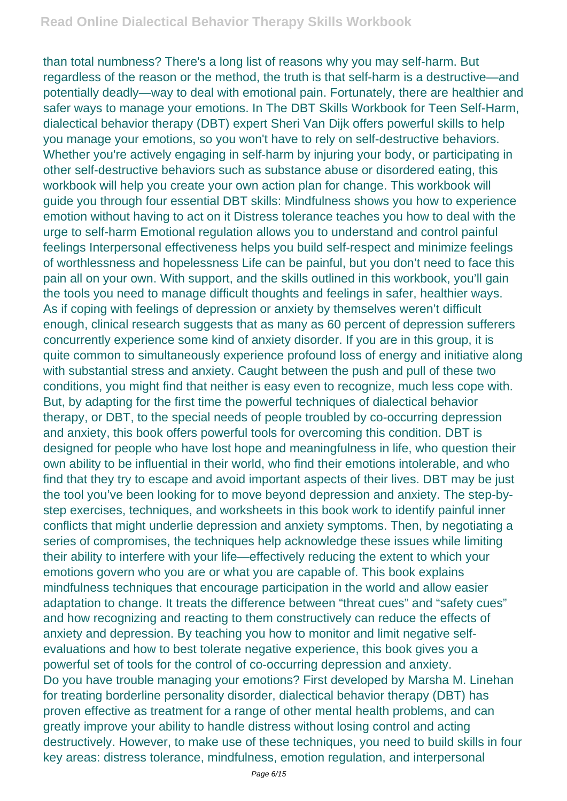than total numbness? There's a long list of reasons why you may self-harm. But regardless of the reason or the method, the truth is that self-harm is a destructive—and potentially deadly—way to deal with emotional pain. Fortunately, there are healthier and safer ways to manage your emotions. In The DBT Skills Workbook for Teen Self-Harm, dialectical behavior therapy (DBT) expert Sheri Van Dijk offers powerful skills to help you manage your emotions, so you won't have to rely on self-destructive behaviors. Whether you're actively engaging in self-harm by injuring your body, or participating in other self-destructive behaviors such as substance abuse or disordered eating, this workbook will help you create your own action plan for change. This workbook will guide you through four essential DBT skills: Mindfulness shows you how to experience emotion without having to act on it Distress tolerance teaches you how to deal with the urge to self-harm Emotional regulation allows you to understand and control painful feelings Interpersonal effectiveness helps you build self-respect and minimize feelings of worthlessness and hopelessness Life can be painful, but you don't need to face this pain all on your own. With support, and the skills outlined in this workbook, you'll gain the tools you need to manage difficult thoughts and feelings in safer, healthier ways. As if coping with feelings of depression or anxiety by themselves weren't difficult enough, clinical research suggests that as many as 60 percent of depression sufferers concurrently experience some kind of anxiety disorder. If you are in this group, it is quite common to simultaneously experience profound loss of energy and initiative along with substantial stress and anxiety. Caught between the push and pull of these two conditions, you might find that neither is easy even to recognize, much less cope with. But, by adapting for the first time the powerful techniques of dialectical behavior therapy, or DBT, to the special needs of people troubled by co-occurring depression and anxiety, this book offers powerful tools for overcoming this condition. DBT is designed for people who have lost hope and meaningfulness in life, who question their own ability to be influential in their world, who find their emotions intolerable, and who find that they try to escape and avoid important aspects of their lives. DBT may be just the tool you've been looking for to move beyond depression and anxiety. The step-bystep exercises, techniques, and worksheets in this book work to identify painful inner conflicts that might underlie depression and anxiety symptoms. Then, by negotiating a series of compromises, the techniques help acknowledge these issues while limiting their ability to interfere with your life—effectively reducing the extent to which your emotions govern who you are or what you are capable of. This book explains mindfulness techniques that encourage participation in the world and allow easier adaptation to change. It treats the difference between "threat cues" and "safety cues" and how recognizing and reacting to them constructively can reduce the effects of anxiety and depression. By teaching you how to monitor and limit negative selfevaluations and how to best tolerate negative experience, this book gives you a powerful set of tools for the control of co-occurring depression and anxiety. Do you have trouble managing your emotions? First developed by Marsha M. Linehan for treating borderline personality disorder, dialectical behavior therapy (DBT) has proven effective as treatment for a range of other mental health problems, and can greatly improve your ability to handle distress without losing control and acting destructively. However, to make use of these techniques, you need to build skills in four key areas: distress tolerance, mindfulness, emotion regulation, and interpersonal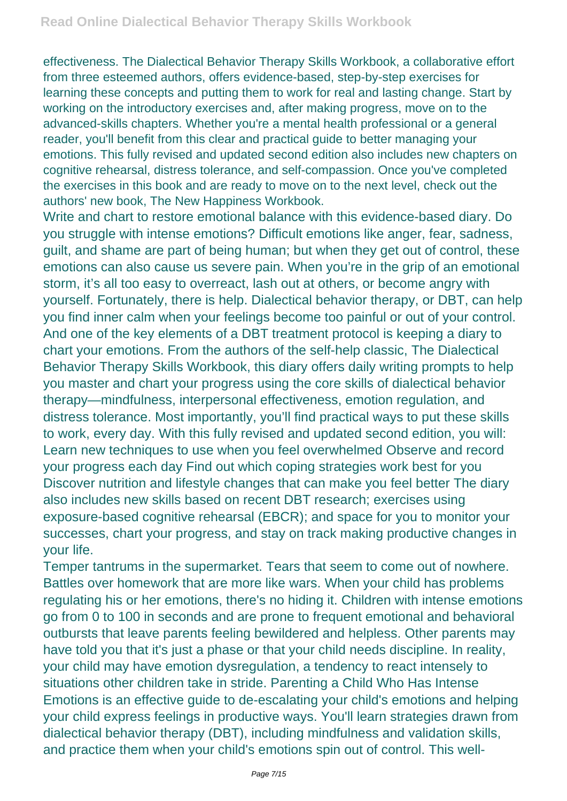effectiveness. The Dialectical Behavior Therapy Skills Workbook, a collaborative effort from three esteemed authors, offers evidence-based, step-by-step exercises for learning these concepts and putting them to work for real and lasting change. Start by working on the introductory exercises and, after making progress, move on to the advanced-skills chapters. Whether you're a mental health professional or a general reader, you'll benefit from this clear and practical guide to better managing your emotions. This fully revised and updated second edition also includes new chapters on cognitive rehearsal, distress tolerance, and self-compassion. Once you've completed the exercises in this book and are ready to move on to the next level, check out the authors' new book, The New Happiness Workbook.

Write and chart to restore emotional balance with this evidence-based diary. Do you struggle with intense emotions? Difficult emotions like anger, fear, sadness, guilt, and shame are part of being human; but when they get out of control, these emotions can also cause us severe pain. When you're in the grip of an emotional storm, it's all too easy to overreact, lash out at others, or become angry with yourself. Fortunately, there is help. Dialectical behavior therapy, or DBT, can help you find inner calm when your feelings become too painful or out of your control. And one of the key elements of a DBT treatment protocol is keeping a diary to chart your emotions. From the authors of the self-help classic, The Dialectical Behavior Therapy Skills Workbook, this diary offers daily writing prompts to help you master and chart your progress using the core skills of dialectical behavior therapy—mindfulness, interpersonal effectiveness, emotion regulation, and distress tolerance. Most importantly, you'll find practical ways to put these skills to work, every day. With this fully revised and updated second edition, you will: Learn new techniques to use when you feel overwhelmed Observe and record your progress each day Find out which coping strategies work best for you Discover nutrition and lifestyle changes that can make you feel better The diary also includes new skills based on recent DBT research; exercises using exposure-based cognitive rehearsal (EBCR); and space for you to monitor your successes, chart your progress, and stay on track making productive changes in your life.

Temper tantrums in the supermarket. Tears that seem to come out of nowhere. Battles over homework that are more like wars. When your child has problems regulating his or her emotions, there's no hiding it. Children with intense emotions go from 0 to 100 in seconds and are prone to frequent emotional and behavioral outbursts that leave parents feeling bewildered and helpless. Other parents may have told you that it's just a phase or that your child needs discipline. In reality, your child may have emotion dysregulation, a tendency to react intensely to situations other children take in stride. Parenting a Child Who Has Intense Emotions is an effective guide to de-escalating your child's emotions and helping your child express feelings in productive ways. You'll learn strategies drawn from dialectical behavior therapy (DBT), including mindfulness and validation skills, and practice them when your child's emotions spin out of control. This well-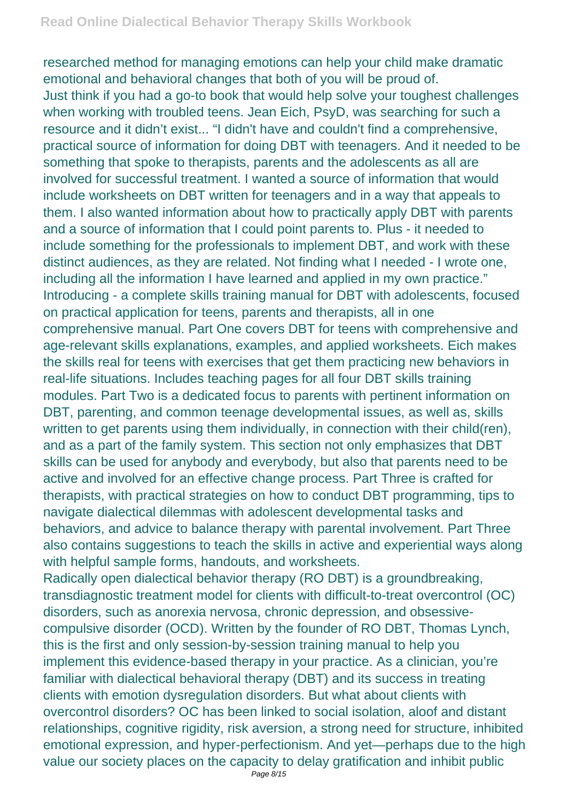researched method for managing emotions can help your child make dramatic emotional and behavioral changes that both of you will be proud of. Just think if you had a go-to book that would help solve your toughest challenges when working with troubled teens. Jean Eich, PsyD, was searching for such a resource and it didn't exist... "I didn't have and couldn't find a comprehensive, practical source of information for doing DBT with teenagers. And it needed to be something that spoke to therapists, parents and the adolescents as all are involved for successful treatment. I wanted a source of information that would include worksheets on DBT written for teenagers and in a way that appeals to them. I also wanted information about how to practically apply DBT with parents and a source of information that I could point parents to. Plus - it needed to include something for the professionals to implement DBT, and work with these distinct audiences, as they are related. Not finding what I needed - I wrote one, including all the information I have learned and applied in my own practice." Introducing - a complete skills training manual for DBT with adolescents, focused on practical application for teens, parents and therapists, all in one comprehensive manual. Part One covers DBT for teens with comprehensive and age-relevant skills explanations, examples, and applied worksheets. Eich makes the skills real for teens with exercises that get them practicing new behaviors in real-life situations. Includes teaching pages for all four DBT skills training modules. Part Two is a dedicated focus to parents with pertinent information on DBT, parenting, and common teenage developmental issues, as well as, skills written to get parents using them individually, in connection with their child(ren), and as a part of the family system. This section not only emphasizes that DBT skills can be used for anybody and everybody, but also that parents need to be active and involved for an effective change process. Part Three is crafted for therapists, with practical strategies on how to conduct DBT programming, tips to navigate dialectical dilemmas with adolescent developmental tasks and behaviors, and advice to balance therapy with parental involvement. Part Three also contains suggestions to teach the skills in active and experiential ways along with helpful sample forms, handouts, and worksheets. Radically open dialectical behavior therapy (RO DBT) is a groundbreaking, transdiagnostic treatment model for clients with difficult-to-treat overcontrol (OC) disorders, such as anorexia nervosa, chronic depression, and obsessivecompulsive disorder (OCD). Written by the founder of RO DBT, Thomas Lynch, this is the first and only session-by-session training manual to help you implement this evidence-based therapy in your practice. As a clinician, you're familiar with dialectical behavioral therapy (DBT) and its success in treating

clients with emotion dysregulation disorders. But what about clients with overcontrol disorders? OC has been linked to social isolation, aloof and distant relationships, cognitive rigidity, risk aversion, a strong need for structure, inhibited emotional expression, and hyper-perfectionism. And yet—perhaps due to the high value our society places on the capacity to delay gratification and inhibit public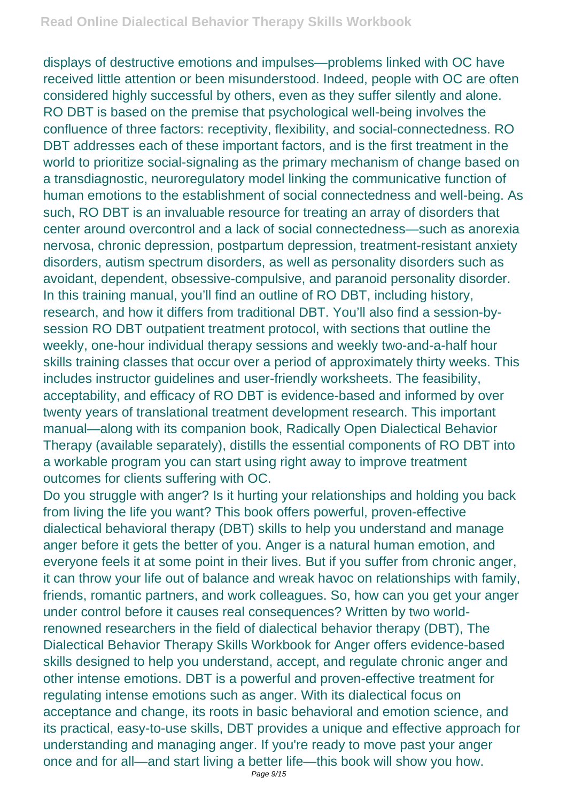displays of destructive emotions and impulses—problems linked with OC have received little attention or been misunderstood. Indeed, people with OC are often considered highly successful by others, even as they suffer silently and alone. RO DBT is based on the premise that psychological well-being involves the confluence of three factors: receptivity, flexibility, and social-connectedness. RO DBT addresses each of these important factors, and is the first treatment in the world to prioritize social-signaling as the primary mechanism of change based on a transdiagnostic, neuroregulatory model linking the communicative function of human emotions to the establishment of social connectedness and well-being. As such, RO DBT is an invaluable resource for treating an array of disorders that center around overcontrol and a lack of social connectedness—such as anorexia nervosa, chronic depression, postpartum depression, treatment-resistant anxiety disorders, autism spectrum disorders, as well as personality disorders such as avoidant, dependent, obsessive-compulsive, and paranoid personality disorder. In this training manual, you'll find an outline of RO DBT, including history, research, and how it differs from traditional DBT. You'll also find a session-bysession RO DBT outpatient treatment protocol, with sections that outline the weekly, one-hour individual therapy sessions and weekly two-and-a-half hour skills training classes that occur over a period of approximately thirty weeks. This includes instructor guidelines and user-friendly worksheets. The feasibility, acceptability, and efficacy of RO DBT is evidence-based and informed by over twenty years of translational treatment development research. This important manual—along with its companion book, Radically Open Dialectical Behavior Therapy (available separately), distills the essential components of RO DBT into a workable program you can start using right away to improve treatment outcomes for clients suffering with OC.

Do you struggle with anger? Is it hurting your relationships and holding you back from living the life you want? This book offers powerful, proven-effective dialectical behavioral therapy (DBT) skills to help you understand and manage anger before it gets the better of you. Anger is a natural human emotion, and everyone feels it at some point in their lives. But if you suffer from chronic anger, it can throw your life out of balance and wreak havoc on relationships with family, friends, romantic partners, and work colleagues. So, how can you get your anger under control before it causes real consequences? Written by two worldrenowned researchers in the field of dialectical behavior therapy (DBT), The Dialectical Behavior Therapy Skills Workbook for Anger offers evidence-based skills designed to help you understand, accept, and regulate chronic anger and other intense emotions. DBT is a powerful and proven-effective treatment for regulating intense emotions such as anger. With its dialectical focus on acceptance and change, its roots in basic behavioral and emotion science, and its practical, easy-to-use skills, DBT provides a unique and effective approach for understanding and managing anger. If you're ready to move past your anger once and for all—and start living a better life—this book will show you how.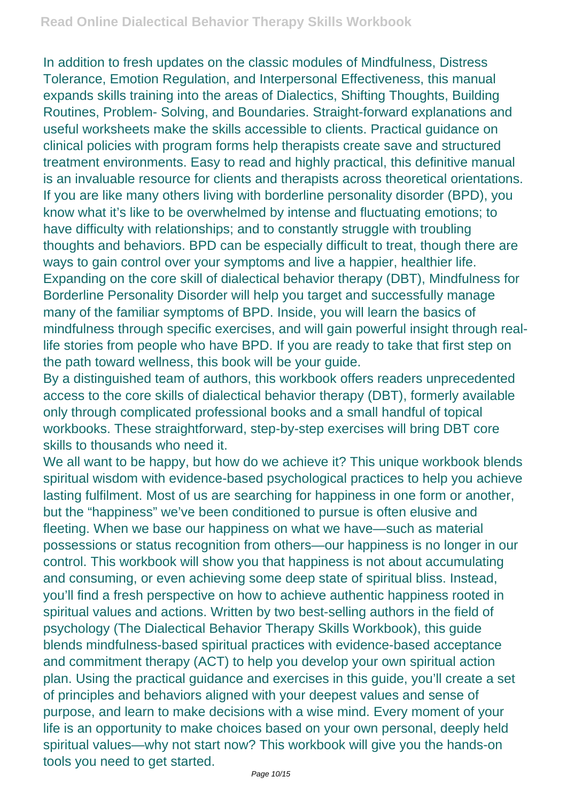In addition to fresh updates on the classic modules of Mindfulness, Distress Tolerance, Emotion Regulation, and Interpersonal Effectiveness, this manual expands skills training into the areas of Dialectics, Shifting Thoughts, Building Routines, Problem- Solving, and Boundaries. Straight-forward explanations and useful worksheets make the skills accessible to clients. Practical guidance on clinical policies with program forms help therapists create save and structured treatment environments. Easy to read and highly practical, this definitive manual is an invaluable resource for clients and therapists across theoretical orientations. If you are like many others living with borderline personality disorder (BPD), you know what it's like to be overwhelmed by intense and fluctuating emotions; to have difficulty with relationships; and to constantly struggle with troubling thoughts and behaviors. BPD can be especially difficult to treat, though there are ways to gain control over your symptoms and live a happier, healthier life. Expanding on the core skill of dialectical behavior therapy (DBT), Mindfulness for Borderline Personality Disorder will help you target and successfully manage many of the familiar symptoms of BPD. Inside, you will learn the basics of mindfulness through specific exercises, and will gain powerful insight through reallife stories from people who have BPD. If you are ready to take that first step on the path toward wellness, this book will be your guide.

By a distinguished team of authors, this workbook offers readers unprecedented access to the core skills of dialectical behavior therapy (DBT), formerly available only through complicated professional books and a small handful of topical workbooks. These straightforward, step-by-step exercises will bring DBT core skills to thousands who need it.

We all want to be happy, but how do we achieve it? This unique workbook blends spiritual wisdom with evidence-based psychological practices to help you achieve lasting fulfilment. Most of us are searching for happiness in one form or another, but the "happiness" we've been conditioned to pursue is often elusive and fleeting. When we base our happiness on what we have—such as material possessions or status recognition from others—our happiness is no longer in our control. This workbook will show you that happiness is not about accumulating and consuming, or even achieving some deep state of spiritual bliss. Instead, you'll find a fresh perspective on how to achieve authentic happiness rooted in spiritual values and actions. Written by two best-selling authors in the field of psychology (The Dialectical Behavior Therapy Skills Workbook), this guide blends mindfulness-based spiritual practices with evidence-based acceptance and commitment therapy (ACT) to help you develop your own spiritual action plan. Using the practical guidance and exercises in this guide, you'll create a set of principles and behaviors aligned with your deepest values and sense of purpose, and learn to make decisions with a wise mind. Every moment of your life is an opportunity to make choices based on your own personal, deeply held spiritual values—why not start now? This workbook will give you the hands-on tools you need to get started.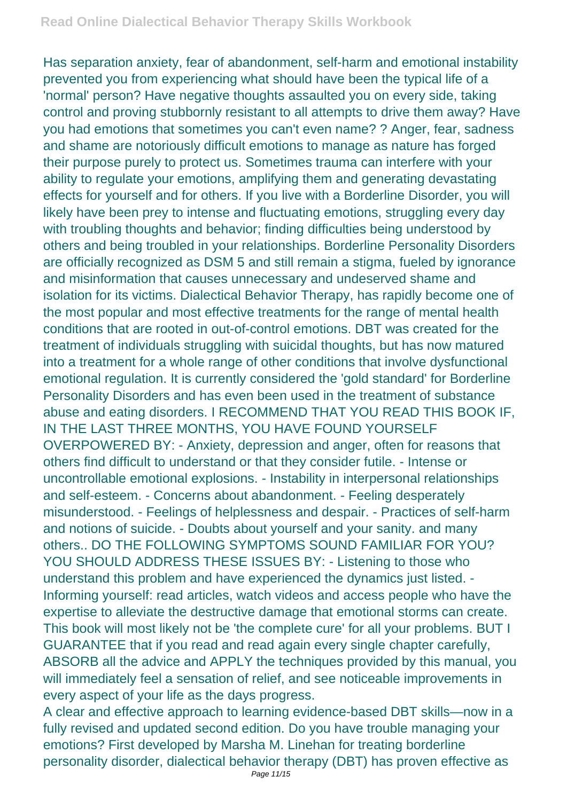Has separation anxiety, fear of abandonment, self-harm and emotional instability prevented you from experiencing what should have been the typical life of a 'normal' person? Have negative thoughts assaulted you on every side, taking control and proving stubbornly resistant to all attempts to drive them away? Have you had emotions that sometimes you can't even name? ? Anger, fear, sadness and shame are notoriously difficult emotions to manage as nature has forged their purpose purely to protect us. Sometimes trauma can interfere with your ability to regulate your emotions, amplifying them and generating devastating effects for yourself and for others. If you live with a Borderline Disorder, you will likely have been prey to intense and fluctuating emotions, struggling every day with troubling thoughts and behavior; finding difficulties being understood by others and being troubled in your relationships. Borderline Personality Disorders are officially recognized as DSM 5 and still remain a stigma, fueled by ignorance and misinformation that causes unnecessary and undeserved shame and isolation for its victims. Dialectical Behavior Therapy, has rapidly become one of the most popular and most effective treatments for the range of mental health conditions that are rooted in out-of-control emotions. DBT was created for the treatment of individuals struggling with suicidal thoughts, but has now matured into a treatment for a whole range of other conditions that involve dysfunctional emotional regulation. It is currently considered the 'gold standard' for Borderline Personality Disorders and has even been used in the treatment of substance abuse and eating disorders. I RECOMMEND THAT YOU READ THIS BOOK IF, IN THE LAST THREE MONTHS, YOU HAVE FOUND YOURSELF OVERPOWERED BY: - Anxiety, depression and anger, often for reasons that others find difficult to understand or that they consider futile. - Intense or uncontrollable emotional explosions. - Instability in interpersonal relationships and self-esteem. - Concerns about abandonment. - Feeling desperately misunderstood. - Feelings of helplessness and despair. - Practices of self-harm and notions of suicide. - Doubts about yourself and your sanity. and many others.. DO THE FOLLOWING SYMPTOMS SOUND FAMILIAR FOR YOU? YOU SHOULD ADDRESS THESE ISSUES BY: - Listening to those who understand this problem and have experienced the dynamics just listed. - Informing yourself: read articles, watch videos and access people who have the expertise to alleviate the destructive damage that emotional storms can create. This book will most likely not be 'the complete cure' for all your problems. BUT I GUARANTEE that if you read and read again every single chapter carefully, ABSORB all the advice and APPLY the techniques provided by this manual, you will immediately feel a sensation of relief, and see noticeable improvements in every aspect of your life as the days progress.

A clear and effective approach to learning evidence-based DBT skills—now in a fully revised and updated second edition. Do you have trouble managing your emotions? First developed by Marsha M. Linehan for treating borderline personality disorder, dialectical behavior therapy (DBT) has proven effective as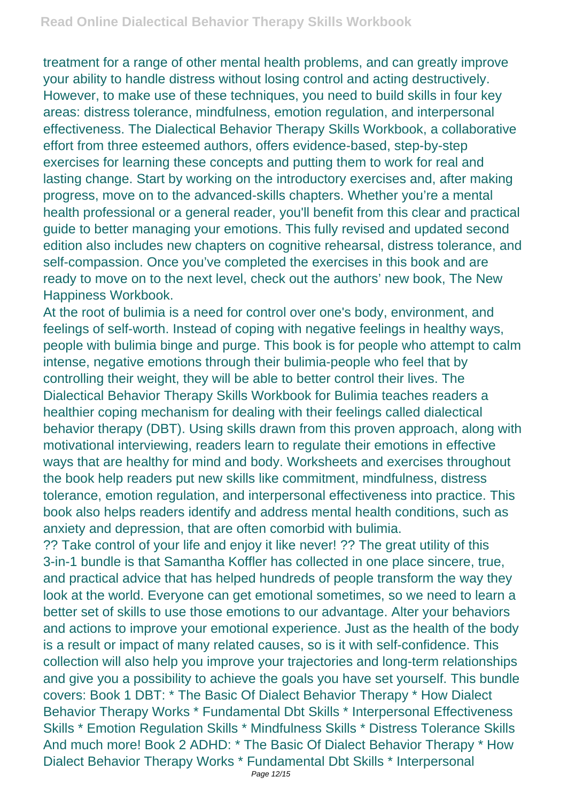treatment for a range of other mental health problems, and can greatly improve your ability to handle distress without losing control and acting destructively. However, to make use of these techniques, you need to build skills in four key areas: distress tolerance, mindfulness, emotion regulation, and interpersonal effectiveness. The Dialectical Behavior Therapy Skills Workbook, a collaborative effort from three esteemed authors, offers evidence-based, step-by-step exercises for learning these concepts and putting them to work for real and lasting change. Start by working on the introductory exercises and, after making progress, move on to the advanced-skills chapters. Whether you're a mental health professional or a general reader, you'll benefit from this clear and practical guide to better managing your emotions. This fully revised and updated second edition also includes new chapters on cognitive rehearsal, distress tolerance, and self-compassion. Once you've completed the exercises in this book and are ready to move on to the next level, check out the authors' new book, The New Happiness Workbook.

At the root of bulimia is a need for control over one's body, environment, and feelings of self-worth. Instead of coping with negative feelings in healthy ways, people with bulimia binge and purge. This book is for people who attempt to calm intense, negative emotions through their bulimia-people who feel that by controlling their weight, they will be able to better control their lives. The Dialectical Behavior Therapy Skills Workbook for Bulimia teaches readers a healthier coping mechanism for dealing with their feelings called dialectical behavior therapy (DBT). Using skills drawn from this proven approach, along with motivational interviewing, readers learn to regulate their emotions in effective ways that are healthy for mind and body. Worksheets and exercises throughout the book help readers put new skills like commitment, mindfulness, distress tolerance, emotion regulation, and interpersonal effectiveness into practice. This book also helps readers identify and address mental health conditions, such as anxiety and depression, that are often comorbid with bulimia.

?? Take control of your life and enjoy it like never! ?? The great utility of this 3-in-1 bundle is that Samantha Koffler has collected in one place sincere, true, and practical advice that has helped hundreds of people transform the way they look at the world. Everyone can get emotional sometimes, so we need to learn a better set of skills to use those emotions to our advantage. Alter your behaviors and actions to improve your emotional experience. Just as the health of the body is a result or impact of many related causes, so is it with self-confidence. This collection will also help you improve your trajectories and long-term relationships and give you a possibility to achieve the goals you have set yourself. This bundle covers: Book 1 DBT: \* The Basic Of Dialect Behavior Therapy \* How Dialect Behavior Therapy Works \* Fundamental Dbt Skills \* Interpersonal Effectiveness Skills \* Emotion Regulation Skills \* Mindfulness Skills \* Distress Tolerance Skills And much more! Book 2 ADHD: \* The Basic Of Dialect Behavior Therapy \* How Dialect Behavior Therapy Works \* Fundamental Dbt Skills \* Interpersonal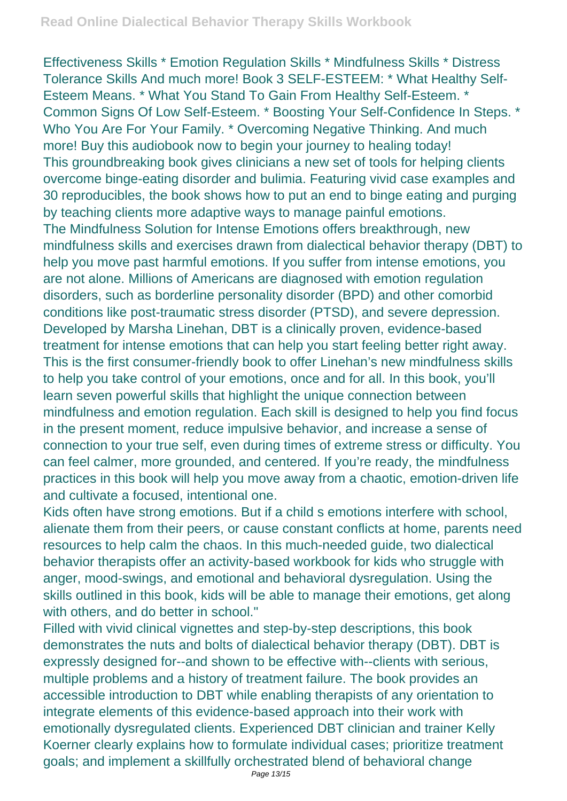Effectiveness Skills \* Emotion Regulation Skills \* Mindfulness Skills \* Distress Tolerance Skills And much more! Book 3 SELF-ESTEEM: \* What Healthy Self-Esteem Means. \* What You Stand To Gain From Healthy Self-Esteem. \* Common Signs Of Low Self-Esteem. \* Boosting Your Self-Confidence In Steps. \* Who You Are For Your Family. \* Overcoming Negative Thinking. And much more! Buy this audiobook now to begin your journey to healing today! This groundbreaking book gives clinicians a new set of tools for helping clients overcome binge-eating disorder and bulimia. Featuring vivid case examples and 30 reproducibles, the book shows how to put an end to binge eating and purging by teaching clients more adaptive ways to manage painful emotions. The Mindfulness Solution for Intense Emotions offers breakthrough, new mindfulness skills and exercises drawn from dialectical behavior therapy (DBT) to help you move past harmful emotions. If you suffer from intense emotions, you are not alone. Millions of Americans are diagnosed with emotion regulation disorders, such as borderline personality disorder (BPD) and other comorbid conditions like post-traumatic stress disorder (PTSD), and severe depression. Developed by Marsha Linehan, DBT is a clinically proven, evidence-based treatment for intense emotions that can help you start feeling better right away. This is the first consumer-friendly book to offer Linehan's new mindfulness skills to help you take control of your emotions, once and for all. In this book, you'll learn seven powerful skills that highlight the unique connection between mindfulness and emotion regulation. Each skill is designed to help you find focus in the present moment, reduce impulsive behavior, and increase a sense of connection to your true self, even during times of extreme stress or difficulty. You can feel calmer, more grounded, and centered. If you're ready, the mindfulness practices in this book will help you move away from a chaotic, emotion-driven life and cultivate a focused, intentional one.

Kids often have strong emotions. But if a child s emotions interfere with school, alienate them from their peers, or cause constant conflicts at home, parents need resources to help calm the chaos. In this much-needed guide, two dialectical behavior therapists offer an activity-based workbook for kids who struggle with anger, mood-swings, and emotional and behavioral dysregulation. Using the skills outlined in this book, kids will be able to manage their emotions, get along with others, and do better in school."

Filled with vivid clinical vignettes and step-by-step descriptions, this book demonstrates the nuts and bolts of dialectical behavior therapy (DBT). DBT is expressly designed for--and shown to be effective with--clients with serious, multiple problems and a history of treatment failure. The book provides an accessible introduction to DBT while enabling therapists of any orientation to integrate elements of this evidence-based approach into their work with emotionally dysregulated clients. Experienced DBT clinician and trainer Kelly Koerner clearly explains how to formulate individual cases; prioritize treatment goals; and implement a skillfully orchestrated blend of behavioral change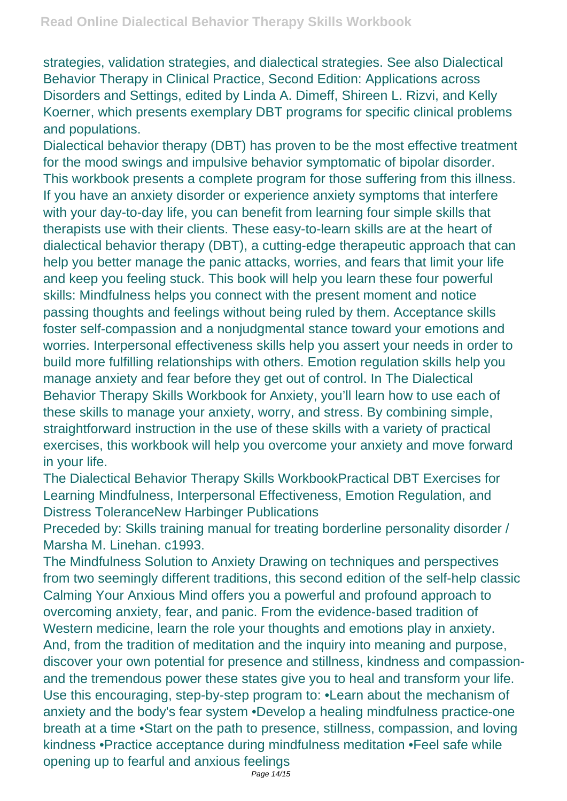strategies, validation strategies, and dialectical strategies. See also Dialectical Behavior Therapy in Clinical Practice, Second Edition: Applications across Disorders and Settings, edited by Linda A. Dimeff, Shireen L. Rizvi, and Kelly Koerner, which presents exemplary DBT programs for specific clinical problems and populations.

Dialectical behavior therapy (DBT) has proven to be the most effective treatment for the mood swings and impulsive behavior symptomatic of bipolar disorder. This workbook presents a complete program for those suffering from this illness. If you have an anxiety disorder or experience anxiety symptoms that interfere with your day-to-day life, you can benefit from learning four simple skills that therapists use with their clients. These easy-to-learn skills are at the heart of dialectical behavior therapy (DBT), a cutting-edge therapeutic approach that can help you better manage the panic attacks, worries, and fears that limit your life and keep you feeling stuck. This book will help you learn these four powerful skills: Mindfulness helps you connect with the present moment and notice passing thoughts and feelings without being ruled by them. Acceptance skills foster self-compassion and a nonjudgmental stance toward your emotions and worries. Interpersonal effectiveness skills help you assert your needs in order to build more fulfilling relationships with others. Emotion regulation skills help you manage anxiety and fear before they get out of control. In The Dialectical Behavior Therapy Skills Workbook for Anxiety, you'll learn how to use each of these skills to manage your anxiety, worry, and stress. By combining simple, straightforward instruction in the use of these skills with a variety of practical exercises, this workbook will help you overcome your anxiety and move forward in your life.

The Dialectical Behavior Therapy Skills WorkbookPractical DBT Exercises for Learning Mindfulness, Interpersonal Effectiveness, Emotion Regulation, and Distress ToleranceNew Harbinger Publications

Preceded by: Skills training manual for treating borderline personality disorder / Marsha M. Linehan. c1993.

The Mindfulness Solution to Anxiety Drawing on techniques and perspectives from two seemingly different traditions, this second edition of the self-help classic Calming Your Anxious Mind offers you a powerful and profound approach to overcoming anxiety, fear, and panic. From the evidence-based tradition of Western medicine, learn the role your thoughts and emotions play in anxiety. And, from the tradition of meditation and the inquiry into meaning and purpose, discover your own potential for presence and stillness, kindness and compassionand the tremendous power these states give you to heal and transform your life. Use this encouraging, step-by-step program to: •Learn about the mechanism of anxiety and the body's fear system •Develop a healing mindfulness practice-one breath at a time •Start on the path to presence, stillness, compassion, and loving kindness •Practice acceptance during mindfulness meditation •Feel safe while opening up to fearful and anxious feelings